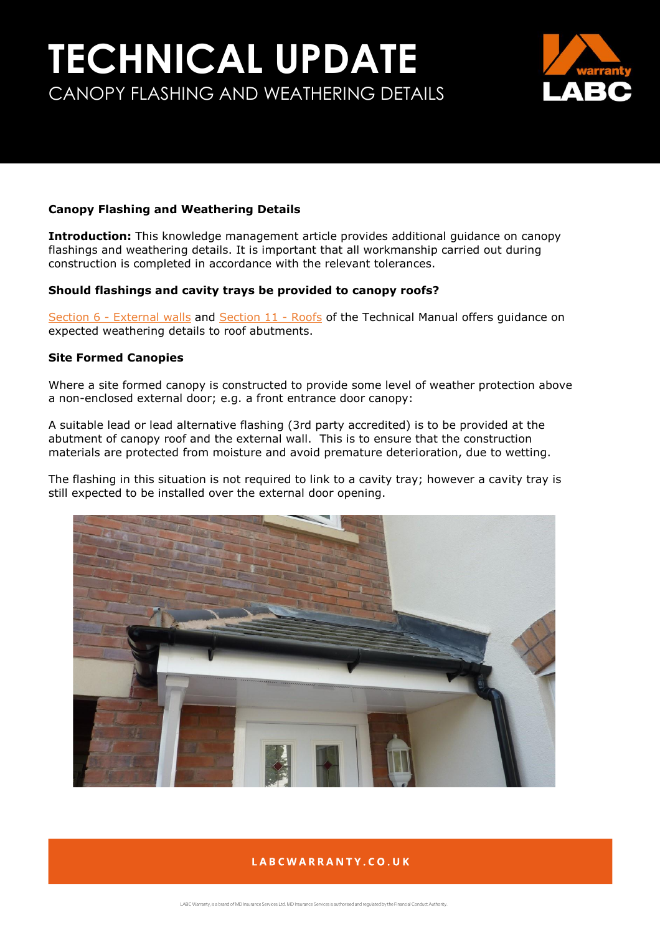# **TECHNICAL UPDATE** CANOPY FLASHING AND WEATHERING DETAILS



### **Canopy Flashing and Weathering Details**

**Introduction:** This knowledge management article provides additional guidance on canopy flashings and weathering details. It is important that all workmanship carried out during construction is completed in accordance with the relevant tolerances.

### **Should flashings and cavity trays be provided to canopy roofs?**

Section 6 - [External walls](https://info.labcwarranty.co.uk/technical-manual-s6) and [Section 11 -](https://info.labcwarranty.co.uk/technical-manual-s11) Roofs of the Technical Manual offers guidance on expected weathering details to roof abutments.

#### **Site Formed Canopies**

Where a site formed canopy is constructed to provide some level of weather protection above a non-enclosed external door; e.g. a front entrance door canopy:

A suitable lead or lead alternative flashing (3rd party accredited) is to be provided at the abutment of canopy roof and the external wall. This is to ensure that the construction materials are protected from moisture and avoid premature deterioration, due to wetting.

The flashing in this situation is not required to link to a cavity tray; however a cavity tray is still expected to be installed over the external door opening.



# LABCWARRANTY.CO.UK